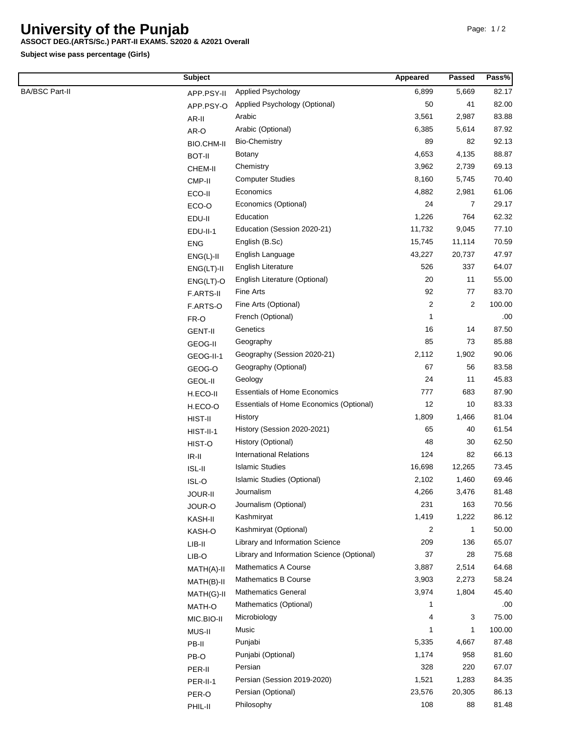## **University of the Punjab**

## **ASSOCT DEG.(ARTS/Sc.) PART-II EXAMS. S2020 & A2021 Overall**

**Subject wise pass percentage (Girls)**

|                       | <b>Subject</b>      |                                            | Appeared       | Passed         | Pass%  |
|-----------------------|---------------------|--------------------------------------------|----------------|----------------|--------|
| <b>BA/BSC Part-II</b> | APP.PSY-II          | Applied Psychology                         | 6,899          | 5,669          | 82.17  |
|                       | APP.PSY-O           | Applied Psychology (Optional)              | 50             | 41             | 82.00  |
|                       | AR-II               | Arabic                                     | 3,561          | 2,987          | 83.88  |
|                       | AR-O                | Arabic (Optional)                          | 6,385          | 5,614          | 87.92  |
|                       | BIO.CHM-II          | <b>Bio-Chemistry</b>                       | 89             | 82             | 92.13  |
|                       | <b>BOT-II</b>       | <b>Botany</b>                              | 4,653          | 4,135          | 88.87  |
|                       | CHEM-II             | Chemistry                                  | 3,962          | 2,739          | 69.13  |
|                       | CMP-II              | <b>Computer Studies</b>                    | 8,160          | 5,745          | 70.40  |
|                       | ECO-II              | Economics                                  | 4,882          | 2,981          | 61.06  |
|                       | ECO-O               | Economics (Optional)                       | 24             | 7              | 29.17  |
|                       | EDU-II              | Education                                  | 1,226          | 764            | 62.32  |
|                       | EDU-II-1            | Education (Session 2020-21)                | 11,732         | 9,045          | 77.10  |
|                       | <b>ENG</b>          | English (B.Sc)                             | 15,745         | 11,114         | 70.59  |
|                       | $ENG(L)-II$         | English Language                           | 43,227         | 20,737         | 47.97  |
|                       | $ENG(LT)-II$        | English Literature                         | 526            | 337            | 64.07  |
|                       | $ENG(LT)-O$         | English Literature (Optional)              | 20             | 11             | 55.00  |
|                       | F.ARTS-II           | Fine Arts                                  | 92             | 77             | 83.70  |
|                       | F.ARTS-O            | Fine Arts (Optional)                       | $\overline{2}$ | $\overline{c}$ | 100.00 |
|                       | FR-O                | French (Optional)                          | 1              |                | .00    |
|                       | <b>GENT-II</b>      | Genetics                                   | 16             | 14             | 87.50  |
|                       | GEOG-II             | Geography                                  | 85             | 73             | 85.88  |
|                       | GEOG-II-1           | Geography (Session 2020-21)                | 2,112          | 1,902          | 90.06  |
|                       | GEOG-O              | Geography (Optional)                       | 67             | 56             | 83.58  |
|                       | GEOL-II             | Geology                                    | 24             | 11             | 45.83  |
|                       | H.ECO-II            | <b>Essentials of Home Economics</b>        | 777            | 683            | 87.90  |
|                       | H.ECO-O             | Essentials of Home Economics (Optional)    | 12             | 10             | 83.33  |
|                       | HIST-II             | History                                    | 1,809          | 1,466          | 81.04  |
|                       | HIST-II-1           | History (Session 2020-2021)                | 65             | 40             | 61.54  |
|                       | HIST-O              | History (Optional)                         | 48             | 30             | 62.50  |
|                       | $IR-II$             | <b>International Relations</b>             | 124            | 82             | 66.13  |
|                       | ISL-II              | <b>Islamic Studies</b>                     | 16,698         | 12,265         | 73.45  |
|                       | ISL-O               | Islamic Studies (Optional)                 | 2,102          | 1,460          | 69.46  |
|                       | JOUR-II             | Journalism                                 | 4,266          | 3,476          | 81.48  |
|                       |                     | Journalism (Optional)                      | 231            | 163            | 70.56  |
|                       | JOUR-O              | Kashmiryat                                 | 1,419          | 1,222          | 86.12  |
|                       | KASH-II             | Kashmiryat (Optional)                      | 2              | 1              | 50.00  |
|                       | KASH-O              | Library and Information Science            | 209            | 136            | 65.07  |
|                       | $LIB-II$            | Library and Information Science (Optional) | 37             | 28             | 75.68  |
|                       | LIB-O<br>MATH(A)-II | Mathematics A Course                       | 3,887          | 2,514          | 64.68  |
|                       |                     | <b>Mathematics B Course</b>                | 3,903          | 2,273          | 58.24  |
|                       | MATH(B)-II          | <b>Mathematics General</b>                 | 3,974          | 1,804          | 45.40  |
|                       | MATH(G)-II          | Mathematics (Optional)                     | 1              |                | .00    |
|                       | MATH-O              | Microbiology                               | 4              | 3              | 75.00  |
|                       | MIC.BIO-II          | Music                                      | 1              | 1              | 100.00 |
|                       | MUS-II              | Punjabi                                    | 5,335          | 4,667          | 87.48  |
|                       | PB-II               | Punjabi (Optional)                         | 1,174          | 958            | 81.60  |
|                       | PB-O                | Persian                                    | 328            | 220            | 67.07  |
|                       | PER-II              | Persian (Session 2019-2020)                | 1,521          | 1,283          | 84.35  |
|                       | PER-II-1            | Persian (Optional)                         | 23,576         | 20,305         | 86.13  |
|                       | PER-O               | Philosophy                                 | 108            | 88             | 81.48  |
|                       | PHIL-II             |                                            |                |                |        |